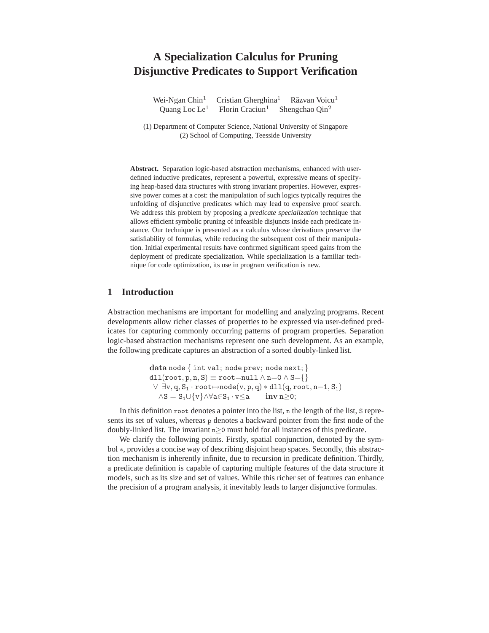# **A Specialization Calculus for Pruning Disjunctive Predicates to Support Verification**

Wei-Ngan Chin<sup>1</sup> Cristian Gherghina<sup>1</sup> Răzvan Voicu<sup>1</sup> Quang Loc Le<sup>1</sup> Florin Craciun<sup>1</sup> Shengchao Qin<sup>2</sup>

(1) Department of Computer Science, National University of Singapore (2) School of Computing, Teesside University

**Abstract.** Separation logic-based abstraction mechanisms, enhanced with userdefined inductive predicates, represent a powerful, expressive means of specifying heap-based data structures with strong invariant properties. However, expressive power comes at a cost: the manipulation of such logics typically requires the unfolding of disjunctive predicates which may lead to expensive proof search. We address this problem by proposing a *predicate specialization* technique that allows efficient symbolic pruning of infeasible disjuncts inside each predicate instance. Our technique is presented as a calculus whose derivations preserve the satisfiability of formulas, while reducing the subsequent cost of their manipulation. Initial experimental results have confirmed significant speed gains from the deployment of predicate specialization. While specialization is a familiar technique for code optimization, its use in program verification is new.

### **1 Introduction**

Abstraction mechanisms are important for modelling and analyzing programs. Recent developments allow richer classes of properties to be expressed via user-defined predicates for capturing commonly occurring patterns of program properties. Separation logic-based abstraction mechanisms represent one such development. As an example, the following predicate captures an abstraction of a sorted doubly-linked list.

> data node { int val; node prev; node next; }  $dll(root, p, n, S) \equiv root = null \land n = 0 \land S = \{\}$  $\lor \exists v, q, S_1 \cdot root \rightarrow node(v, p, q) * dll(q, root, n-1, S_1)$  $\wedge$ S = S<sub>1</sub>∪{v} $\wedge \forall a \in S_1 \cdot v \le a$  inv n≥0;

In this definition root denotes a pointer into the list, n the length of the list, S represents its set of values, whereas p denotes a backward pointer from the first node of the doubly-linked list. The invariant n≥0 must hold for all instances of this predicate.

We clarify the following points. Firstly, spatial conjunction, denoted by the symbol ∗, provides a concise way of describing disjoint heap spaces. Secondly, this abstraction mechanism is inherently infinite, due to recursion in predicate definition. Thirdly, a predicate definition is capable of capturing multiple features of the data structure it models, such as its size and set of values. While this richer set of features can enhance the precision of a program analysis, it inevitably leads to larger disjunctive formulas.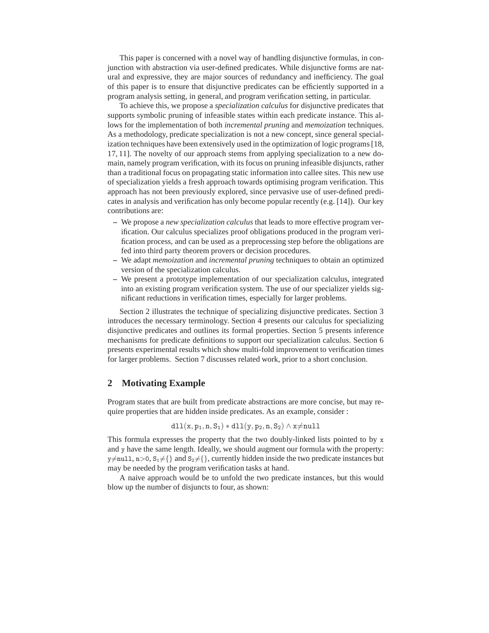This paper is concerned with a novel way of handling disjunctive formulas, in conjunction with abstraction via user-defined predicates. While disjunctive forms are natural and expressive, they are major sources of redundancy and inefficiency. The goal of this paper is to ensure that disjunctive predicates can be efficiently supported in a program analysis setting, in general, and program verification setting, in particular.

To achieve this, we propose a *specialization calculus* for disjunctive predicates that supports symbolic pruning of infeasible states within each predicate instance. This allows for the implementation of both *incremental pruning* and *memoization* techniques. As a methodology, predicate specialization is not a new concept, since general specialization techniques have been extensively used in the optimization of logic programs [18, 17, 11]. The novelty of our approach stems from applying specialization to a new domain, namely program verification, with its focus on pruning infeasible disjuncts, rather than a traditional focus on propagating static information into callee sites. This new use of specialization yields a fresh approach towards optimising program verification. This approach has not been previously explored, since pervasive use of user-defined predicates in analysis and verification has only become popular recently (e.g. [14]). Our key contributions are:

- **–** We propose a *new specialization calculus* that leads to more effective program verification. Our calculus specializes proof obligations produced in the program verification process, and can be used as a preprocessing step before the obligations are fed into third party theorem provers or decision procedures.
- **–** We adapt *memoization* and *incremental pruning* techniques to obtain an optimized version of the specialization calculus.
- **–** We present a prototype implementation of our specialization calculus, integrated into an existing program verification system. The use of our specializer yields significant reductions in verification times, especially for larger problems.

Section 2 illustrates the technique of specializing disjunctive predicates. Section 3 introduces the necessary terminology. Section 4 presents our calculus for specializing disjunctive predicates and outlines its formal properties. Section 5 presents inference mechanisms for predicate definitions to support our specialization calculus. Section 6 presents experimental results which show multi-fold improvement to verification times for larger problems. Section 7 discusses related work, prior to a short conclusion.

#### **2 Motivating Example**

Program states that are built from predicate abstractions are more concise, but may require properties that are hidden inside predicates. As an example, consider :

$$
\mathtt{dll}(x, p_1, n, S_1) * \mathtt{dll}(y, p_2, n, S_2) \land x \neq \mathtt{null}
$$

This formula expresses the property that the two doubly-linked lists pointed to by  $x$ and y have the same length. Ideally, we should augment our formula with the property:  $y\neq$ null, n>0,  $S_1\neq\{\}$  and  $S_2\neq\{\}$ , currently hidden inside the two predicate instances but may be needed by the program verification tasks at hand.

A naive approach would be to unfold the two predicate instances, but this would blow up the number of disjuncts to four, as shown: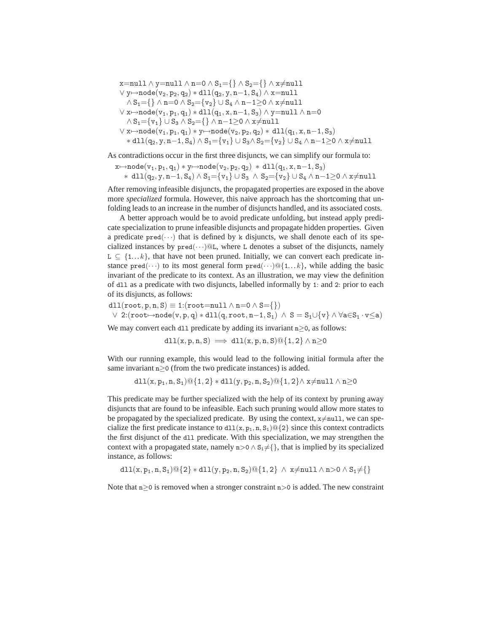$$
\begin{array}{l} x = \texttt{null} \wedge y = \texttt{null} \wedge \texttt{n=0} \wedge \texttt{S}_1 = \{ \} \wedge \texttt{S}_2 = \{ \} \wedge x \neq \texttt{null} \\ \vee y \mapsto \texttt{node}(v_2, p_2, q_2) * d11(q_2, y, n-1, S_4) \wedge x = \texttt{null} \\ \wedge \texttt{S}_1 = \{ \} \wedge \texttt{n=0} \wedge \texttt{S}_2 = \{ v_2 \} \cup \texttt{S}_4 \wedge \texttt{n-1} \geq 0 \wedge x \neq \texttt{null} \\ \vee x \mapsto \texttt{node}(v_1, p_1, q_1) * d11(q_1, x, n-1, S_3) \wedge y = \texttt{null} \wedge \texttt{n=0} \\ \wedge \texttt{S}_1 = \{ v_1 \} \cup \texttt{S}_3 \wedge \texttt{S}_2 = \{ \} \wedge \texttt{n-1} \geq 0 \wedge x \neq \texttt{null} \\ \vee x \mapsto \texttt{node}(v_1, p_1, q_1) * y \mapsto \texttt{node}(v_2, p_2, q_2) * d11(q_1, x, n-1, S_3) \\ * d11(q_2, y, n-1, S_4) \wedge \texttt{S}_1 = \{ v_1 \} \cup \texttt{S}_3 \wedge \texttt{S}_2 = \{ v_2 \} \cup \texttt{S}_4 \wedge \texttt{n-1} \geq 0 \wedge x \neq \texttt{null} \end{array}
$$

As contradictions occur in the first three disjuncts, we can simplify our formula to:

$$
\begin{aligned} &\text{x}\!\mapsto\!\text{node}(v_1,p_1,q_1)\ast\text{y}\!\mapsto\!\text{node}(v_2,p_2,q_2)\ast\text{dll}(q_1,\text{x},\text{n}\!-\!1,\text{S}_3)\\ &\ast\text{dll}(q_2,\text{y},\text{n}\!-\!1,\text{S}_4)\wedge\text{S}_1\!\!=\!\!\{v_1\}\cup\text{S}_3\,\wedge\,\text{S}_2\!\!=\!\!\{v_2\}\cup\text{S}_4\wedge\text{n}\!-\!1\!\geq&\!0\wedge\text{x}\!\neq\!\text{null}\, \end{aligned}
$$

After removing infeasible disjuncts, the propagated properties are exposed in the above more *specialized* formula. However, this naive approach has the shortcoming that unfolding leads to an increase in the number of disjuncts handled, and its associated costs.

A better approach would be to avoid predicate unfolding, but instead apply predicate specialization to prune infeasible disjuncts and propagate hidden properties. Given a predicate  $pred(\cdots)$  that is defined by k disjuncts, we shall denote each of its specialized instances by  $pred(\cdots)@L$ , where L denotes a subset of the disjuncts, namely  $L \subseteq \{1...k\}$ , that have not been pruned. Initially, we can convert each predicate instance pred( $\cdots$ ) to its most general form pred( $\cdots$ ) $\mathcal{Q}\{1...k\}$ , while adding the basic invariant of the predicate to its context. As an illustration, we may view the definition of dll as a predicate with two disjuncts, labelled informally by 1: and 2: prior to each of its disjuncts, as follows:

dll(root, p, n, S)  $\equiv$  1:(root=null  $\land$  n=0  $\land$  S={})  $\vee$  2:(root→node(v, p, q) \* dll(q, root, n-1, S<sub>1</sub>)  $\wedge$  S = S<sub>1</sub>∪{v}  $\wedge$  ∀a∈S<sub>1</sub> · v≤a)

We may convert each dll predicate by adding its invariant n ≥0, as follows:

 $dll(x, p, n, S) \implies dll(x, p, n, S) \text{Q} \{1, 2\} \land n \geq 0$ 

With our running example, this would lead to the following initial formula after the same invariant n≥0 (from the two predicate instances) is added.

$$
dll(x,p_1,n,S_1)@\{1,2\} \ast dll(y,p_2,n,S_2)@\{1,2\} \wedge x \neq null \wedge n \geq 0
$$

This predicate may be further specialized with the help of its context by pruning away disjuncts that are found to be infeasible. Each such pruning would allow more states to be propagated by the specialized predicate. By using the context,  $x\neq null$ , we can specialize the first predicate instance to  $d11(x, p_1, n, S_1) \Omega\{2\}$  since this context contradicts the first disjunct of the dll predicate. With this specialization, we may strengthen the context with a propagated state, namely  $n>0 \wedge S_1\neq \{\}$ , that is implied by its specialized instance, as follows:

dll(x, p<sub>1</sub>, n, S<sub>1</sub>)@{2} \* dll(y, p<sub>2</sub>, n, S<sub>2</sub>)@{1, 2}  $\land$  x≠null  $\land$  n>0  $\land$  S<sub>1</sub>≠{}

Note that  $n\geq 0$  is removed when a stronger constraint  $n>0$  is added. The new constraint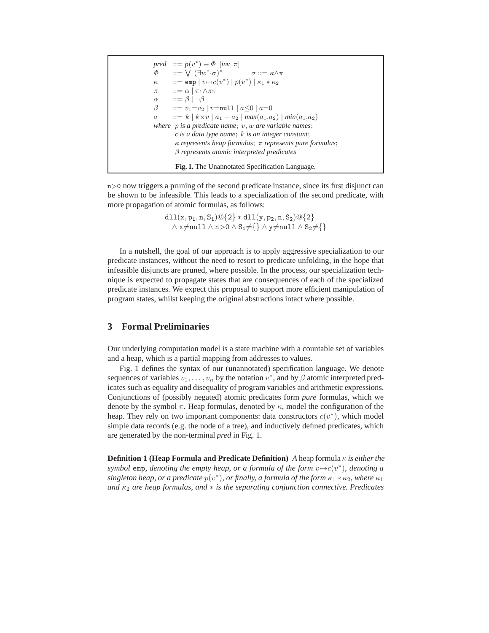|                | pred ::= $p(v^*) \equiv \Phi$  inv $\pi$                                           |
|----------------|------------------------------------------------------------------------------------|
|                | $\Phi$ ::= $\bigvee$ $(\exists w^* \cdot \sigma)^*$ $\sigma ::= \kappa \wedge \pi$ |
|                | $\kappa$ $\qquad :=$ emp $ v \rightarrow c(v^*)   p(v^*)   \kappa_1 * \kappa_2$    |
|                | $\pi$ $::=\alpha \mid \pi_1 \wedge \pi_2$                                          |
|                | $\alpha$ $\qquad = \beta \mid \neg \beta$                                          |
| $\beta$        | $\therefore$ $v_1 = v_2 \mid v = \text{null} \mid a \leq 0 \mid a = 0$             |
| $\overline{a}$ | $ ::= k   k \times v   a_1 + a_2   max(a_1,a_2)   min(a_1,a_2)$                    |
|                | where $p$ is a predicate name; $v, w$ are variable names;                          |
|                | c is a data type name; $k$ is an integer constant;                                 |
|                | $\kappa$ represents heap formulas; $\pi$ represents pure formulas;                 |
|                | $\beta$ represents atomic interpreted predicates                                   |

n>0 now triggers a pruning of the second predicate instance, since its first disjunct can be shown to be infeasible. This leads to a specialization of the second predicate, with more propagation of atomic formulas, as follows:

> dll(x, p<sub>1</sub>, n, S<sub>1</sub>)@{2} \* dll(y, p<sub>2</sub>, n, S<sub>2</sub>)@{2}  $\wedge$  x≠null  $\wedge$  n>0  $\wedge$  S<sub>1</sub>≠{}  $\wedge$  y≠null  $\wedge$  S<sub>2</sub>≠{}

In a nutshell, the goal of our approach is to apply aggressive specialization to our predicate instances, without the need to resort to predicate unfolding, in the hope that infeasible disjuncts are pruned, where possible. In the process, our specialization technique is expected to propagate states that are consequences of each of the specialized predicate instances. We expect this proposal to support more efficient manipulation of program states, whilst keeping the original abstractions intact where possible.

## **3 Formal Preliminaries**

Our underlying computation model is a state machine with a countable set of variables and a heap, which is a partial mapping from addresses to values.

Fig. 1 defines the syntax of our (unannotated) specification language. We denote sequences of variables  $v_1, \ldots, v_n$  by the notation  $v^*$ , and by  $\beta$  atomic interpreted predicates such as equality and disequality of program variables and arithmetic expressions. Conjunctions of (possibly negated) atomic predicates form *pure* formulas, which we denote by the symbol  $\pi$ . Heap formulas, denoted by  $\kappa$ , model the configuration of the heap. They rely on two important components: data constructors  $c(v^*)$ , which model simple data records (e.g. the node of a tree), and inductively defined predicates, which are generated by the non-terminal *pred* in Fig. 1.

**Definition 1 (Heap Formula and Predicate Definition)** *A* heap formula κ *is either the symbol* emp, denoting the empty heap, or a formula of the form  $v \rightarrow c(v^*)$ , denoting a  $s$ *ingleton heap, or a predicate*  $p(v^*)$ , *or finally, a formula of the form*  $\kappa_1 * \kappa_2$ , where  $\kappa_1$ *and* κ<sub>2</sub> *are heap formulas, and* ∗ *is the separating conjunction connective. Predicates*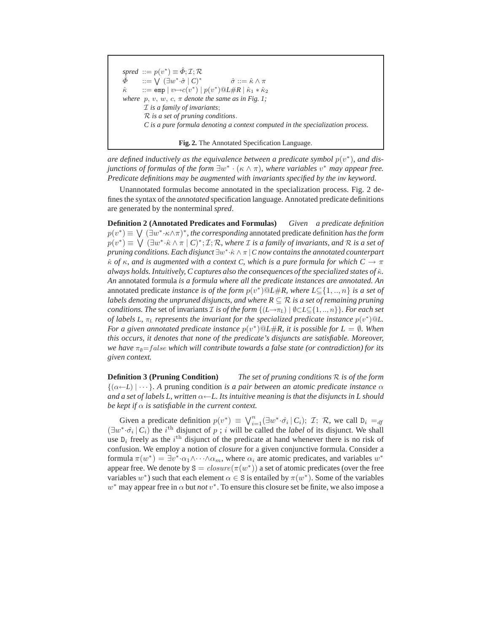$spread := p(v^*) \equiv \hat{\Phi}; \mathcal{I}; \mathcal{R}$  $\hat{\Phi}$   $\qquad := \bigvee \ (\exists w^* \cdot \hat{\sigma} \mid C)$  $\hat{\sigma} ::= \hat{\kappa} \wedge \pi$  $\hat{\kappa}$  ::= emp  $|v \rightarrow c(v^*)| p(v^*) \mathbb{Q}L \# R | \hat{\kappa}_1 * \hat{\kappa}_2$ *where*  $p, v, w, c, \pi$  *denote the same as in Fig. 1;* I *is a family of invariants*; R *is a set of pruning conditions*. *C is a pure formula denoting a context computed in the specialization process.*

**Fig. 2.** The Annotated Specification Language.

*are defined inductively as the equivalence between a predicate symbol*  $p(v^*)$ , and dis*junctions of formulas of the form* ∃w ∗ · (κ ∧ π)*, where variables* v <sup>∗</sup> *may appear free. Predicate definitions may be augmented with invariants specified by the inv keyword.*

Unannotated formulas become annotated in the specialization process. Fig. 2 defines the syntax of the *annotated* specification language. Annotated predicate definitions are generated by the nonterminal *spred*.

**Definition 2 (Annotated Predicates and Formulas)** *Given a predicate definition*  $p(v^*) \equiv \bigvee (\exists w^* \cdot \kappa \wedge \pi)^*$ , the corresponding annotated predicate definition *has the form*  $p(v^*) \equiv \bigvee (\exists w^* \cdot \hat{\kappa} \wedge \pi \mid C)^*$ ; *T*; *R*, where *T* is a family of invariants, and *R* is a set of *pruning conditions. Each disjunct* ∃w<sup>\*</sup> · $\hat{\kappa} \wedge \pi$  | *C now contains the annotated counterpart*  $\hat{\kappa}$  *of*  $\kappa$ *, and is augmented with a context C, which is a pure formula for which*  $C \to \pi$ *always holds. Intuitively, C captures also the consequences of the specialized states of* κˆ*. An* annotated formula *is a formula where all the predicate instances are annotated. An* annotated predicate *instance is of the form*  $p(v^*)$  @*L*#*R*, where *L*⊆{1,.., *n*} *is a set of labels denoting the unpruned disjuncts, and where R*  $\subseteq \mathcal{R}$  *is a set of remaining pruning conditions. The* set of invariants *I is of the form*  $\{(L\rightarrow\pi_L) | \emptyset \subset L \subseteq \{1, ..., n\}\}\$ . For each set *of labels L,*  $\pi$ *L represents the invariant for the specialized predicate instance*  $p(v^*)\mathcal{Q}L$ *. For a given annotated predicate instance*  $p(v^*)@L \# R$ , *it is possible for*  $L = \emptyset$ *. When this occurs, it denotes that none of the predicate's disjuncts are satisfiable. Moreover, we have*  $\pi_{\emptyset}$ =false *which will contribute towards a false state (or contradiction) for its given context.*

**Definition 3 (Pruning Condition)** *The set of pruning conditions* R *is of the form*  ${(\alpha\leftarrow L) | \cdots}$ *.* A pruning condition *is a pair between an atomic predicate instance*  $\alpha$ and a set of labels L, written  $\alpha \leftarrow L$ . Its intuitive meaning is that the disjuncts in L should *be kept if*  $\alpha$  *is satisfiable in the current context.* 

Given a predicate definition  $p(v^*) \equiv \bigvee_{i=1}^n (\exists w^* \cdot \hat{\sigma}_i | C_i); \mathcal{I}; \mathcal{R}$ , we call  $D_i =_{df}$  $(\exists w^* \cdot \hat{\sigma}_i | C_i)$  the i<sup>th</sup> disjunct of p; i will be called the *label* of its disjunct. We shall use  $D_i$  freely as the i<sup>th</sup> disjunct of the predicate at hand whenever there is no risk of confusion. We employ a notion of *closure* for a given conjunctive formula. Consider a formula  $\pi(w^*) = \exists v^* \cdot \alpha_1 \wedge \cdots \wedge \alpha_m$ , where  $\alpha_i$  are atomic predicates, and variables  $w^*$ appear free. We denote by  $S = closure(\pi(w^*))$  a set of atomic predicates (over the free variables  $w^*$ ) such that each element  $\alpha \in S$  is entailed by  $\pi(w^*)$ . Some of the variables  $w^*$  may appear free in  $\alpha$  but *not*  $v^*$ . To ensure this closure set be finite, we also impose a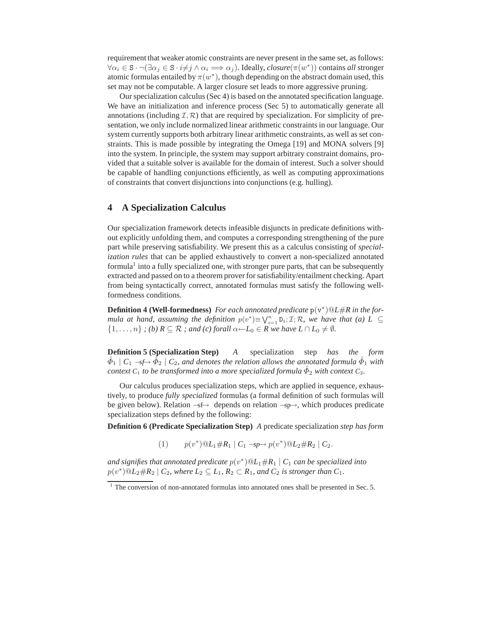requirement that weaker atomic constraints are never present in the same set, as follows:  $\forall \alpha_i \in S \cdot \neg (\exists \alpha_j \in S \cdot i \neq j \land \alpha_i \Longrightarrow \alpha_j).$  Ideally,  $\mathit{closure}(\pi(w^*))$  contains *all* stronger atomic formulas entailed by  $\pi(w^*)$ , though depending on the abstract domain used, this set may not be computable. A larger closure set leads to more aggressive pruning.

Our specialization calculus (Sec 4) is based on the annotated specification language. We have an initialization and inference process (Sec 5) to automatically generate all annotations (including  $\mathcal{I}, \mathcal{R}$ ) that are required by specialization. For simplicity of presentation, we only include normalized linear arithmetic constraints in our language. Our system currently supports both arbitrary linear arithmetic constraints, as well as set constraints. This is made possible by integrating the Omega [19] and MONA solvers [9] into the system. In principle, the system may support arbitrary constraint domains, provided that a suitable solver is available for the domain of interest. Such a solver should be capable of handling conjunctions efficiently, as well as computing approximations of constraints that convert disjunctions into conjunctions (e.g. hulling).

### **4 A Specialization Calculus**

Our specialization framework detects infeasible disjuncts in predicate definitions without explicitly unfolding them, and computes a corresponding strengthening of the pure part while preserving satisfiability. We present this as a calculus consisting of *specialization rules* that can be applied exhaustively to convert a non-specialized annotated formula<sup>1</sup> into a fully specialized one, with stronger pure parts, that can be subsequently extracted and passed on to a theorem prover for satisfiability/entailment checking. Apart from being syntactically correct, annotated formulas must satisfy the following wellformedness conditions.

**Definition 4 (Well-formedness)** For each annotated predicate  $p(v^*)@L#R$  in the for*mula at hand, assuming the definition*  $p(v^*) \equiv \bigvee_{i=1}^n D_i; \mathcal{I}; \mathcal{R}$ *, we have that (a)*  $L \subseteq$  $\{1,\ldots,n\}$ ; (b)  $R \subseteq \mathcal{R}$ ; and (c) forall  $\alpha \leftarrow L_0 \in R$  we have  $L \cap L_0 \neq \emptyset$ .

**Definition 5 (Specialization Step)** *A* specialization step *has the form*  $\hat{\Phi}_1 \mid C_1 \rightarrow \hat{\Phi}_2 \mid C_2$ , and denotes the relation allows the annotated formula  $\hat{\Phi}_1$  with  $\epsilon$  *context*  $C_1$  *to be transformed into a more specialized formula*  $\hat{\Phi}_2$  *with context*  $C_2$ *.* 

Our calculus produces specialization steps, which are applied in sequence, exhaustively, to produce *fully specialized* formulas (a formal definition of such formulas will be given below). Relation −sf→ depends on relation −sp→, which produces predicate specialization steps defined by the following:

**Definition 6 (Predicate Specialization Step)** *A* predicate specialization *step has form*

(1)  $p(v^*) \mathcal{Q} L_1 \# R_1 \mid C_1 \to p \to p(v^*) \mathcal{Q} L_2 \# R_2 \mid C_2$ .

*and signifies that annotated predicate* p(v ∗ )@*L*1#*R*<sup>1</sup> | *C*<sup>1</sup> *can be specialized into*  $p(v^*)@L_2\#R_2 \mid C_2$ , where  $L_2 \subseteq L_1$ ,  $R_2 \subset R_1$ , and  $C_2$  is stronger than  $C_1$ .

 $1$  The conversion of non-annotated formulas into annotated ones shall be presented in Sec. 5.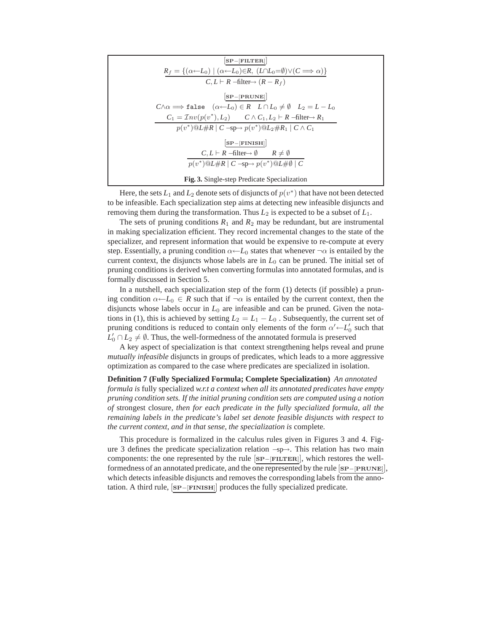| $SP - [FILTER]$                                                                                                         |
|-------------------------------------------------------------------------------------------------------------------------|
| $R_f = \{(\alpha \leftarrow L_0)   (\alpha \leftarrow L_0) \in R, (L \cap L_0 = \emptyset) \vee (C \implies \alpha)\}\$ |
| $C, L \vdash R$ –filter– $(R - R_f)$                                                                                    |
| $ SP -  PRUNE $                                                                                                         |
| $C \wedge \alpha \Longrightarrow$ false $(\alpha \leftarrow L_0) \in R$ $L \cap L_0 \neq \emptyset$ $L_2 = L - L_0$     |
| $C_1 = \mathcal{I}nv(p(v^*), L_2)$ $C \wedge C_1, L_2 \vdash R$ -filter $\rightarrow R_1$                               |
| $p(v^*)@L\#R \mid C \rightarrow p \rightarrow p(v^*)@L_2\#R_1 \mid C \wedge C_1$                                        |
| $ SP - [FINISH] $                                                                                                       |
| $C, L \vdash R$ -filter $\rightarrow \emptyset$ $R \neq \emptyset$                                                      |
| $p(v^*)\mathbb{Q}L\#R$   $C \rightarrow p \rightarrow p(v^*)\mathbb{Q}L\#N$   $C$                                       |
| <b>Fig. 3.</b> Single-step Predicate Specialization                                                                     |
|                                                                                                                         |

Here, the sets  $L_1$  and  $L_2$  denote sets of disjuncts of  $p(v^*)$  that have not been detected to be infeasible. Each specialization step aims at detecting new infeasible disjuncts and removing them during the transformation. Thus  $L_2$  is expected to be a subset of  $L_1$ .

The sets of pruning conditions  $R_1$  and  $R_2$  may be redundant, but are instrumental in making specialization efficient. They record incremental changes to the state of the specializer, and represent information that would be expensive to re-compute at every step. Essentially, a pruning condition  $\alpha \leftarrow L_0$  states that whenever  $\neg \alpha$  is entailed by the current context, the disjuncts whose labels are in  $L_0$  can be pruned. The initial set of pruning conditions is derived when converting formulas into annotated formulas, and is formally discussed in Section 5.

In a nutshell, each specialization step of the form (1) detects (if possible) a pruning condition  $\alpha \leftarrow L_0 \in R$  such that if  $\neg \alpha$  is entailed by the current context, then the disjuncts whose labels occur in  $L_0$  are infeasible and can be pruned. Given the notations in (1), this is achieved by setting  $L_2 = L_1 - L_0$ . Subsequently, the current set of pruning conditions is reduced to contain only elements of the form  $\alpha' \leftarrow L'_0$  such that  $L'_0 \cap L_2 \neq \emptyset$ . Thus, the well-formedness of the annotated formula is preserved

A key aspect of specialization is that context strengthening helps reveal and prune *mutually infeasible* disjuncts in groups of predicates, which leads to a more aggressive optimization as compared to the case where predicates are specialized in isolation.

**Definition 7 (Fully Specialized Formula; Complete Specialization)** *An annotated formula is* fully specialized *w.r.t a context when all its annotated predicates have empty pruning condition sets. If the initial pruning condition sets are computed using a notion of* strongest closure*, then for each predicate in the fully specialized formula, all the remaining labels in the predicate's label set denote feasible disjuncts with respect to the current context, and in that sense, the specialization is* complete*.*

This procedure is formalized in the calculus rules given in Figures 3 and 4. Figure 3 defines the predicate specialization relation −sp→. This relation has two main components: the one represented by the rule [SP−[FILTER]], which restores the wellformedness of an annotated predicate, and the one represented by the rule [SP−[PRUNE]], which detects infeasible disjuncts and removes the corresponding labels from the annotation. A third rule, [SP−[FINISH]] produces the fully specialized predicate.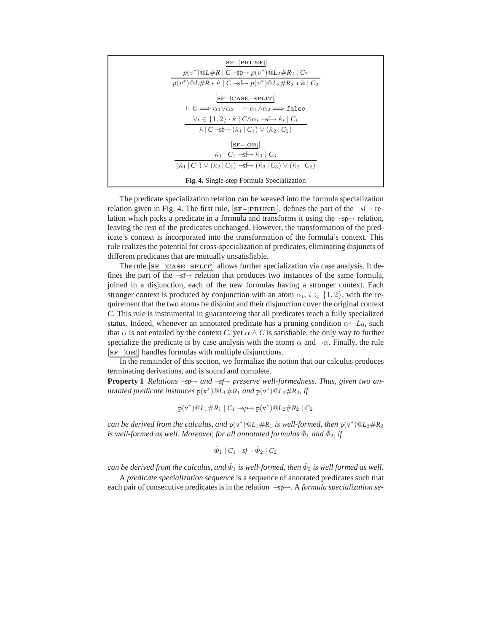| $SF - [PRUNE]$                                                                                                                    |
|-----------------------------------------------------------------------------------------------------------------------------------|
| $p(v^*)@L\#R \mid C \rightarrow p \rightarrow p(v^*)@L_2\#R_2 \mid C_2$                                                           |
| $p(v^*)\mathbb{Q}L\#R*\hat{\kappa}$   $C\rightarrow f\rightarrow p(v^*)\mathbb{Q}L_2\#R_2*\hat{\kappa}$   $C_2$                   |
| $ SF - [CASE - SPLIT] $                                                                                                           |
| $\vdash C \Longrightarrow \alpha_1 \vee \alpha_2 \vdash \alpha_1 \wedge \alpha_2 \Longrightarrow$ false                           |
| $\forall i \in \{1,2\} \cdot \hat{\kappa} \mid C \wedge \alpha_i \rightarrow f \rightarrow \hat{\kappa}_i \mid C_i$               |
| $\hat{\kappa}$   $C$ -sf $(\hat{\kappa}_1   C_1) \vee (\hat{\kappa}_2   C_2)$                                                     |
| $ SF -  OR $                                                                                                                      |
| $\hat{\kappa}_1 \mid C_1 \rightarrow \hat{\kappa}_3 \mid C_3$                                                                     |
| $(\hat{\kappa}_1   C_1) \vee (\hat{\kappa}_2   C_2) \rightarrow f \rightarrow (\hat{\kappa}_3   C_3) \vee (\hat{\kappa}_2   C_2)$ |
| <b>Fig. 4.</b> Single-step Formula Specialization                                                                                 |

The predicate specialization relation can be weaved into the formula specialization relation given in Fig. 4. The first rule,  $[\text{SF}-[\text{PRUNE}]]$ , defines the part of the  $-s$ f $\rightarrow$  relation which picks a predicate in a formula and transforms it using the −sp→ relation, leaving the rest of the predicates unchanged. However, the transformation of the predicate's context is incorporated into the transformation of the formula's context. This rule realizes the potential for cross-specialization of predicates, eliminating disjuncts of different predicates that are mutually unsatisfiable.

The rule [SF−[CASE−SPLIT]] allows further specialization via case analysis. It defines the part of the −sf→ relation that produces two instances of the same formula, joined in a disjunction, each of the new formulas having a stronger context. Each stronger context is produced by conjunction with an atom  $\alpha_i$ ,  $i \in \{1, 2\}$ , with the requirement that the two atoms be disjoint and their disjunction cover the original context *C*. This rule is instrumental in guaranteeing that all predicates reach a fully specialized status. Indeed, whenever an annotated predicate has a pruning condition  $\alpha \leftarrow L_0$ , such that  $\alpha$  is not entailed by the context *C*, yet  $\alpha \wedge C$  is satisfiable, the only way to further specialize the predicate is by case analysis with the atoms  $\alpha$  and  $\neg \alpha$ . Finally, the rule [SF−[OR]] handles formulas with multiple disjunctions.

In the remainder of this section, we formalize the notion that our calculus produces terminating derivations, and is sound and complete.

**Property 1** *Relations* −*sp*→ *and* −*sf*→ *preserve well-formedness. Thus, given two an* $i$  *notated predicate instances*  $p(v^*)@L_1\#R_1$  *and*  $p(v^*)@L_2\#R_2$ , *if* 

$$
p(v^*)@L_1\#R_1 \mid C_1 \rightarrow p \rightarrow p(v^*)@L_2\#R_2 \mid C_2
$$

*can be derived from the calculus, and*  $p(v^*)@L_1\#R_1$  *is well-formed, then*  $p(v^*)@L_2\#R_2$ *is well-formed as well. Moreover, for all annotated formulas*  $\hat{\Phi}_1$  *and*  $\hat{\Phi}_2$ *, if* 

$$
\hat{\varPhi}_1 \mid C_1 \dashrightarrow \hat{\varPhi}_2 \mid C_2
$$

*can be derived from the calculus, and*  $\hat{\Phi}_1$  *is well-formed, then*  $\hat{\Phi}_2$  *is well formed as well.* 

A *predicate specialization sequence* is a sequence of annotated predicates such that each pair of consecutive predicates is in the relation −sp→. A *formula specialization se-*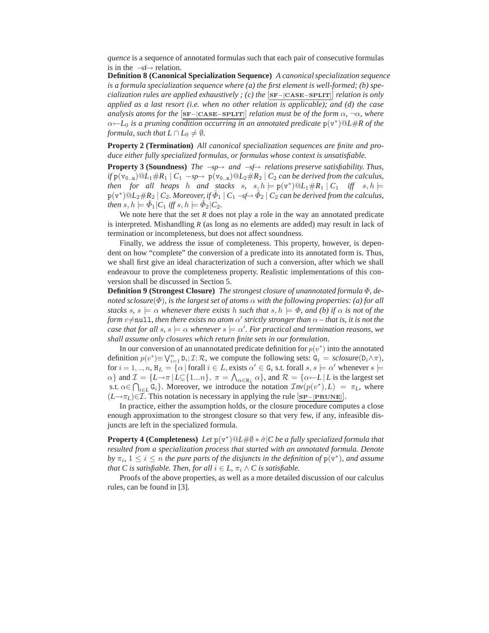*quence* is a sequence of annotated formulas such that each pair of consecutive formulas is in the −sf→ relation.

**Definition 8 (Canonical Specialization Sequence)** *A canonical specialization sequence is a formula specialization sequence where (a) the first element is well-formed; (b) specialization rules are applied exhaustively ; (c) the* [SF−[CASE−SPLIT]] *relation is only applied as a last resort (i.e. when no other relation is applicable); and (d) the case analysis atoms for the*  $[\text{sF}$ -[CASE-SPLIT]] *relation must be of the form*  $\alpha$ *,*  $\neg \alpha$ *, where* α←*L*<sup>0</sup> *is a pruning condition occurring in an annotated predicate* p(v ∗ )@*L*#*R of the formula, such that*  $L \cap L_0 \neq \emptyset$ *.* 

**Property 2 (Termination)** *All canonical specialization sequences are finite and produce either fully specialized formulas, or formulas whose context is unsatisfiable.*

**Property 3 (Soundness)** *The* −*sp*→ *and* −*sf*→ *relations preserve satisfiability. Thus, if*  $p(v_{0..n})@L_1#R_1$  |  $C_1$  −*sp*→  $p(v_{0..n})@L_2#R_2$  |  $C_2$  *can be derived from the calculus, then for all heaps h and stacks s,*  $s, h \models p(v^*) \mathbb{Q}L_1 \# R_1 \mid C_1$  *<i>iff*  $s, h \models$  $p(v^*)$ @L<sub>2</sub>#R<sub>2</sub> |  $C_2$ . Moreover, if  $\hat{\Phi}_1$  |  $C_1$  –sf $\rightarrow$   $\hat{\Phi}_2$  |  $C_2$  can be derived from the calculus, *then*  $s, h \models \hat{\Phi}_1 | C_1$  *iff*  $s, h \models \hat{\Phi}_2 | C_2$ *.* 

We note here that the set *R* does not play a role in the way an annotated predicate is interpreted. Mishandling *R* (as long as no elements are added) may result in lack of termination or incompleteness, but does not affect soundness.

Finally, we address the issue of completeness. This property, however, is dependent on how "complete" the conversion of a predicate into its annotated form is. Thus, we shall first give an ideal characterization of such a conversion, after which we shall endeavour to prove the completeness property. Realistic implementations of this conversion shall be discussed in Section 5.

**Definition 9 (Strongest Closure)** *The strongest closure of unannotated formula* Φ*, denoted sclosure*(Φ)*, is the largest set of atoms* α *with the following properties: (a) for all stacks*  $s, s \models \alpha$  *whenever there exists* h *such that*  $s, h \models \Phi$ , and (b) if  $\alpha$  *is not of the form*  $v \neq$ null, then there exists no atom  $\alpha'$  strictly stronger than  $\alpha$  – that is, it is not the *case that for all s, s*  $\models \alpha$  *whenever*  $s \models \alpha'$ *. For practical and termination reasons, we shall assume only closures which return finite sets in our formulation.*

In our conversion of an unannotated predicate definition for  $p(v^*)$  into the annotated definition  $p(v^*) \equiv \bigvee_{i=1}^n D_i; \mathcal{I}; \mathcal{R}$ , we compute the following sets:  $G_i = sclosure(D_i \wedge \pi)$ , for  $i = 1, ..., n$ ,  $H_L = \{ \alpha \mid \text{for all } i \in L, \text{exists } \alpha' \in G_i \text{ s.t. for all } s, s \models \alpha' \text{ whenever } s \models \alpha' \text{ }$  $\alpha$ } and  $\mathcal{I} = \{L \rightarrow \pi \mid L \subseteq \{1...n\}, \pi = \bigwedge_{\alpha \in H_L} \alpha\}$ , and  $\mathcal{R} = \{\alpha \leftarrow L \mid L \text{ is the largest set}\}$ s.t.  $\alpha \in \bigcap_{i \in L} G_i$ . Moreover, we introduce the notation  $\mathcal{I}nv(p(v^*), L) = \pi_L$ , where  $(L\rightarrow \pi_L) \in \mathcal{I}$ . This notation is necessary in applying the rule [SP−[PRUNE]].

In practice, either the assumption holds, or the closure procedure computes a close enough approximation to the strongest closure so that very few, if any, infeasible disjuncts are left in the specialized formula.

**Property 4 (Completeness)** *Let*  $p(v^*)@L#∅ * ∂ |C$  *be a fully specialized formula that resulted from a specialization process that started with an annotated formula. Denote by*  $\pi_i$ ,  $1 \leq i \leq n$  the pure parts of the disjuncts in the definition of  $p(\mathbf{v}^*)$ , and assume *that C* is satisfiable. Then, for all  $i \in L$ ,  $\pi_i \wedge C$  is satisfiable.

Proofs of the above properties, as well as a more detailed discussion of our calculus rules, can be found in [3].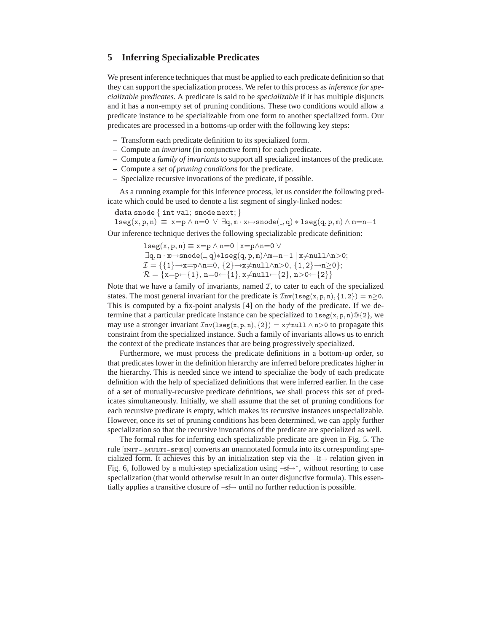# **5 Inferring Specializable Predicates**

We present inference techniques that must be applied to each predicate definition so that they can support the specialization process. We refer to this process as *inference for specializable predicates*. A predicate is said to be *specializable* if it has multiple disjuncts and it has a non-empty set of pruning conditions. These two conditions would allow a predicate instance to be specializable from one form to another specialized form. Our predicates are processed in a bottoms-up order with the following key steps:

- **–** Transform each predicate definition to its specialized form.
- **–** Compute an *invariant* (in conjunctive form) for each predicate.
- **–** Compute a *family of invariants* to support all specialized instances of the predicate.
- **–** Compute a *set of pruning conditions* for the predicate.
- **–** Specialize recursive invocations of the predicate, if possible.

As a running example for this inference process, let us consider the following predicate which could be used to denote a list segment of singly-linked nodes:

data snode { int val; snode next; }

 $lseg(x, p, n) \equiv x=p \wedge n=0 \vee \exists q, m \cdot x \mapsto snode(...q) * lseg(q, p, m) \wedge m=n-1$ 

Our inference technique derives the following specializable predicate definition:

 $lseg(x, p, n) \equiv x=p \wedge n=0 | x=p \wedge n=0 \vee$  $\exists q, m \cdot x \mapsto \texttt{mode}(\_, q) * \texttt{lseg}(q, p, m) \land m=n-1 | x \neq \texttt{null} \land n>0;$  $\mathcal{I} = \{\{1\}\rightarrow x=p \land n=0, \{2\}\rightarrow x\neq \text{null} \land n>0, \{1, 2\}\rightarrow n\geq 0\};$  $\mathcal{R} = \{x=p \leftarrow \{1\}, n=0 \leftarrow \{1\}, x \neq null \leftarrow \{2\}, n>0 \leftarrow \{2\}\}$ 

Note that we have a family of invariants, named  $I$ , to cater to each of the specialized states. The most general invariant for the predicate is  $\mathcal{I}nv(1\text{seg}(x, p, n), \{1, 2\}) = n \ge 0$ . This is computed by a fix-point analysis [4] on the body of the predicate. If we determine that a particular predicate instance can be specialized to  $l \text{seg}(x, p, n) \text{ or } l \text{?}$ , we may use a stronger invariant  $\text{Inv}(\text{lseg}(x, p, n), \{2\}) = x \neq \text{null} \land n > 0$  to propagate this constraint from the specialized instance. Such a family of invariants allows us to enrich the context of the predicate instances that are being progressively specialized.

Furthermore, we must process the predicate definitions in a bottom-up order, so that predicates lower in the definition hierarchy are inferred before predicates higher in the hierarchy. This is needed since we intend to specialize the body of each predicate definition with the help of specialized definitions that were inferred earlier. In the case of a set of mutually-recursive predicate definitions, we shall process this set of predicates simultaneously. Initially, we shall assume that the set of pruning conditions for each recursive predicate is empty, which makes its recursive instances unspecializable. However, once its set of pruning conditions has been determined, we can apply further specialization so that the recursive invocations of the predicate are specialized as well.

The formal rules for inferring each specializable predicate are given in Fig. 5. The rule [INIT−[MULTI−SPEC]] converts an unannotated formula into its corresponding specialized form. It achieves this by an initialization step via the −if→ relation given in Fig. 6, followed by a multi-step specialization using −sf→<sup>∗</sup> , without resorting to case specialization (that would otherwise result in an outer disjunctive formula). This essentially applies a transitive closure of −sf→ until no further reduction is possible.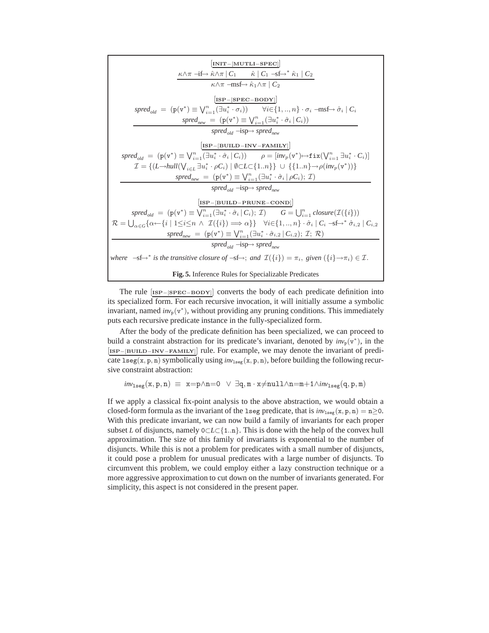| $ INIT-[MULTLI-SPEC] $                                                                                                                                                                                                                                 |  |  |  |  |  |  |  |
|--------------------------------------------------------------------------------------------------------------------------------------------------------------------------------------------------------------------------------------------------------|--|--|--|--|--|--|--|
| $\kappa \wedge \pi \exists f \rightarrow \hat{\kappa} \wedge \pi \vert C_1$ $\hat{\kappa} \vert C_1 \neg f \rightarrow^* \hat{\kappa}_1 \vert C_2$                                                                                                     |  |  |  |  |  |  |  |
| $\kappa \wedge \pi$ -msf- $\hat{\kappa}_1 \wedge \pi$   $C_2$                                                                                                                                                                                          |  |  |  |  |  |  |  |
| $ $ ISP- $ $ SPEC-BODY $ $                                                                                                                                                                                                                             |  |  |  |  |  |  |  |
| $spred_{old} = (\mathbf{p}(\mathbf{v}^*) \equiv \bigvee_{i=1}^n (\exists u_i^* \cdot \sigma_i)) \qquad \forall i \in \{1, , n\} \cdot \sigma_i \rightarrow \hat{\sigma}_i \mid C_i$                                                                    |  |  |  |  |  |  |  |
| $spread_{new} = (\mathbf{p}(\mathbf{v}^*) \equiv \bigvee_{i=1}^{n} (\exists u_i^* \cdot \hat{\sigma}_i   C_i))$                                                                                                                                        |  |  |  |  |  |  |  |
| spred <sub>old</sub> $\rightarrow$ spred <sub>new</sub>                                                                                                                                                                                                |  |  |  |  |  |  |  |
| $\rm{[ISP-[BULD-INV-FAMILY]}]$                                                                                                                                                                                                                         |  |  |  |  |  |  |  |
| $spread_{old} = (p(v^*) \equiv \bigvee_{i=1}^n (\exists u_i^* \cdot \hat{\sigma}_i   C_i))$ $\rho = [inv_p(v^*) \mapsto \text{fix}(\bigvee_{i=1}^n \exists u_i^* \cdot C_i)]$                                                                          |  |  |  |  |  |  |  |
| $\mathcal{I} = \{ (L \rightarrow hull(\bigvee_{i \in L} \exists u_i^* \cdot \rho C_i) \mid \emptyset \subset L \subset \{1n\} \} \cup \{ \{1n\} \rightarrow \rho (inv_p(v^*)) \}$                                                                      |  |  |  |  |  |  |  |
| $spred_{new} = (\mathbf{p}(\mathbf{v}^*) \equiv \bigvee_{i=1}^n (\exists u_i^* \cdot \hat{\sigma}_i   \rho C_i); \mathcal{I})$                                                                                                                         |  |  |  |  |  |  |  |
| spred <sub>ald</sub> $\rightarrow$ spred <sub>nam</sub>                                                                                                                                                                                                |  |  |  |  |  |  |  |
| $ $ ISP- $ $ BUILD-PRUNE-COND $ $                                                                                                                                                                                                                      |  |  |  |  |  |  |  |
| $spred_{old} = (\mathbf{p}(\mathbf{v}^*) \equiv \bigvee_{i=1}^n (\exists u_i^* \cdot \hat{\sigma}_i   C_i); \mathcal{I})$ $G = \bigcup_{i=1}^n \text{closure}(\mathcal{I}(\{i\}))$                                                                     |  |  |  |  |  |  |  |
| $\mathcal{R}=\bigcup_{\alpha\in G}\{\alpha\leftarrow\{i\mid 1\leq i\leq n\;\wedge\;\;\mathcal{I}(\{i\})\Longrightarrow\alpha\}\}\quad\forall i\in\{1,,n\}\cdot\hat{\sigma}_{i}\mid C_{i}\;\text{--sf{\small--}}^{*}\;\hat{\sigma}_{i,2}\mid C_{i,2}\}$ |  |  |  |  |  |  |  |
| $spread_{new} = (\mathbf{p}(\mathbf{v}^*) \equiv \bigvee_{i=1}^n (\exists u_i^* \cdot \hat{\sigma}_{i,2} \, \, C_{i,2}); \mathcal{I}; \mathcal{R})$                                                                                                    |  |  |  |  |  |  |  |
| spred <sub>ald</sub> $\rightarrow$ spred <sub>ness</sub>                                                                                                                                                                                               |  |  |  |  |  |  |  |
| where $-sf \rightarrow^*$ is the transitive closure of $-sf \rightarrow$ ; and $\mathcal{I}(\{i\}) = \pi_i$ , given $(\{i\} \rightarrow \pi_i) \in \mathcal{I}$ .                                                                                      |  |  |  |  |  |  |  |
| <b>Fig. 5.</b> Inference Rules for Specializable Predicates                                                                                                                                                                                            |  |  |  |  |  |  |  |

The rule [ISP−[SPEC−BODY]] converts the body of each predicate definition into its specialized form. For each recursive invocation, it will initially assume a symbolic invariant, named  $\text{inv}_{p}(v^*)$ , without providing any pruning conditions. This immediately puts each recursive predicate instance in the fully-specialized form.

After the body of the predicate definition has been specialized, we can proceed to build a constraint abstraction for its predicate's invariant, denoted by  $\text{inv}_{p}(v^*)$ , in the [ISP−[BUILD−INV−FAMILY]] rule. For example, we may denote the invariant of predicate  $l \text{seg}(x, p, n)$  symbolically using  $inv_{l \text{seg}}(x, p, n)$ , before building the following recursive constraint abstraction:

 $\lim_{\text{1seg}}(x, p, n) \equiv x = p \land n = 0 \lor \exists q, m \cdot x \neq null \land n = m + 1 \land \lim_{\text{1seg}}(q, p, m)$ 

If we apply a classical fix-point analysis to the above abstraction, we would obtain a closed-form formula as the invariant of the 1seg predicate, that is  $inv_{1\text{see}}(x, p, n) = n \ge 0$ . With this predicate invariant, we can now build a family of invariants for each proper subset *L* of disjuncts, namely 0⊂*L*⊂{1..n}. This is done with the help of the convex hull approximation. The size of this family of invariants is exponential to the number of disjuncts. While this is not a problem for predicates with a small number of disjuncts, it could pose a problem for unusual predicates with a large number of disjuncts. To circumvent this problem, we could employ either a lazy construction technique or a more aggressive approximation to cut down on the number of invariants generated. For simplicity, this aspect is not considered in the present paper.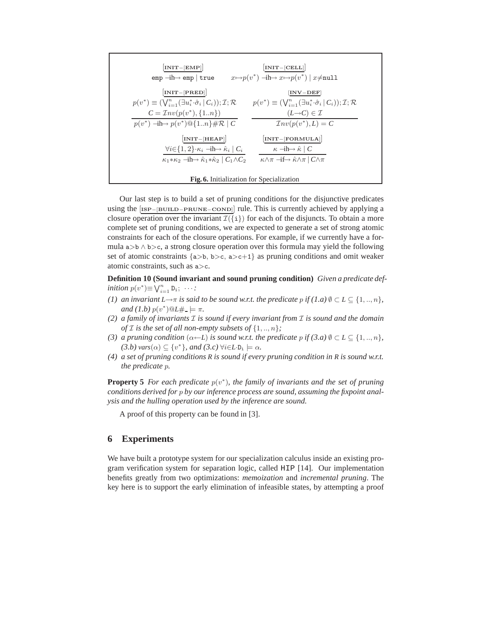| $\vert$ INIT- $\vert$ EMP $\vert$                                                                         | $\left \lceil \text{INIT} - \text{[CELL]} \right \rceil$                                                  |  |  |  |  |  |  |  |
|-----------------------------------------------------------------------------------------------------------|-----------------------------------------------------------------------------------------------------------|--|--|--|--|--|--|--|
| $emp - ih \rightarrow emp   true$                                                                         | $x \mapsto p(v^*)$ $\rightarrow$ ih $\rightarrow$ $x \mapsto p(v^*)$   $x \neq$ null                      |  |  |  |  |  |  |  |
| $\vert$ INIT- $\vert$ PRED $\vert$                                                                        | [INV-DEF]                                                                                                 |  |  |  |  |  |  |  |
| $p(v^*) \equiv (\bigvee_{i=1}^n (\exists u_i^* \cdot \hat{\sigma}_i \mid C_i)); \mathcal{I}; \mathcal{R}$ | $p(v^*) \equiv (\bigvee_{i=1}^n (\exists u_i^* \cdot \hat{\sigma}_i \mid C_i)); \mathcal{I}; \mathcal{R}$ |  |  |  |  |  |  |  |
| $C = \mathcal{I}nv(p(v^*), \{1n\})$                                                                       | $(L\rightarrow C) \in \mathcal{I}$                                                                        |  |  |  |  |  |  |  |
| $p(v^*)$ -ih $p(v^*)\mathbb{Q}{1n}$ #R   C                                                                | $Inv(p(v^*), L) = C$                                                                                      |  |  |  |  |  |  |  |
| $\vert$ INIT- $\vert$ HEAP $\vert$                                                                        | $\vert$ INIT- $\vert$ FORMULA $\vert$                                                                     |  |  |  |  |  |  |  |
| $\forall i \in \{1, 2\} \cdot \kappa_i \rightarrow \hat{\kappa}_i \mid C_i$                               | $\kappa$ -ih $\rightarrow$ $\hat{\kappa}$   C                                                             |  |  |  |  |  |  |  |
| $\kappa_1*\kappa_2$ -ih $\hat{\kappa}_1*\hat{\kappa}_2$ $C_1\wedge C_2$                                   | $\kappa \wedge \pi \rightarrow \hat{\kappa} \wedge \pi$ $C \wedge \pi$                                    |  |  |  |  |  |  |  |
| Fig. 6. Initialization for Specialization                                                                 |                                                                                                           |  |  |  |  |  |  |  |

Our last step is to build a set of pruning conditions for the disjunctive predicates using the [ISP−[BUILD−PRUNE−COND]] rule. This is currently achieved by applying a closure operation over the invariant  $\mathcal{I}(\{\textbf{i}\})$  for each of the disjuncts. To obtain a more complete set of pruning conditions, we are expected to generate a set of strong atomic constraints for each of the closure operations. For example, if we currently have a formula a>b ∧ b>c, a strong closure operation over this formula may yield the following set of atomic constraints  $\{a>b, b\}c, a\geq c+1\}$  as pruning conditions and omit weaker atomic constraints, such as a>c.

**Definition 10 (Sound invariant and sound pruning condition)** *Given a predicate definition*  $p(v^*) \equiv \bigvee_{i=1}^n D_i; \cdots$ 

- *(1) an invariant*  $L \rightarrow \pi$  *is said to be sound w.r.t. the predicate* p *if*  $(1.a)$   $\emptyset \subset L \subseteq \{1, ..., n\}$ *,*  $and (1.b) p(v^*)@L#_{-} \models \pi.$
- *(2) a family of invariants* I *is sound if every invariant from* I *is sound and the domain of I is the set of all non-empty subsets of*  $\{1, ..., n\}$ *;*
- *(3) a pruning condition* ( $\alpha \leftarrow L$ ) *is sound w.r.t. the predicate p if*  $(3.a)$   $\emptyset \subset L \subseteq \{1, ..., n\}$ ,  $(3.b)$  *vars* $(\alpha) \subseteq \{v^*\}$ *, and*  $(3.c)$   $\forall i \in L \cdot D_i \models \alpha$ *.*
- *(4) a set of pruning conditions R is sound if every pruning condition in R is sound w.r.t. the predicate* p*.*

**Property 5** For each predicate  $p(v^*)$ , the family of invariants and the set of pruning *conditions derived for* p *by our inference process are sound, assuming the fixpoint analysis and the hulling operation used by the inference are sound.*

A proof of this property can be found in [3].

### **6 Experiments**

We have built a prototype system for our specialization calculus inside an existing program verification system for separation logic, called HIP [14]. Our implementation benefits greatly from two optimizations: *memoization* and *incremental pruning*. The key here is to support the early elimination of infeasible states, by attempting a proof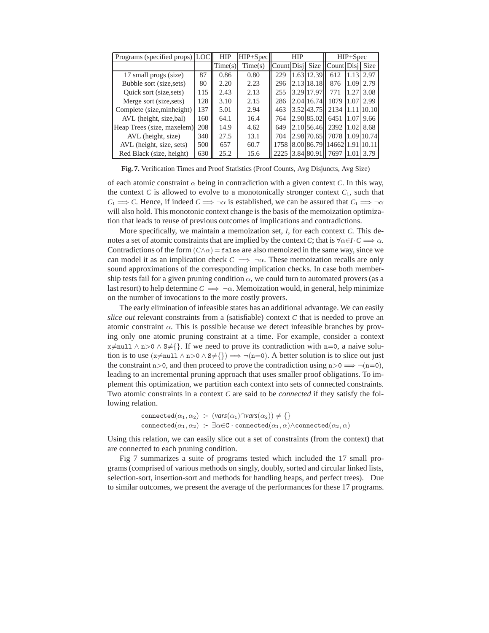| Programs (specified props) LOC |     | <b>HIP</b> | $HIP+Spec$ | <b>HIP</b> |  | $HIP+Spec$      |                 |      |             |
|--------------------------------|-----|------------|------------|------------|--|-----------------|-----------------|------|-------------|
|                                |     | Time(s)    | Time(s)    | Count Disi |  |                 | Size Count Disi |      | <b>Size</b> |
| 17 small progs (size)          | 87  | 0.86       | 0.80       | 229        |  | 1.63 12.39      | 612             | 1.13 | 2.97        |
| Bubble sort (size, sets)       | 80  | 2.20       | 2.23       | 296        |  | 2.13 18.18      | 876             | 1.09 | 2.79        |
| Quick sort (size, sets)        | 115 | 2.43       | 2.13       | 255        |  | 3.29 17.97      | 771             | 1.27 | 3.08        |
| Merge sort (size, sets)        | 128 | 3.10       | 2.15       | 286        |  | 2.04 16.74      | 1079            | 1.07 | 2.99        |
| Complete (size, minheight)     | 137 | 5.01       | 2.94       | 463        |  | 3.52 43.75      | 2134            |      | 10.10       |
| AVL (height, size, bal)        | 160 | 64.1       | 16.4       | 764        |  | 2.90 85.02      | 6451            | 1.07 | 9.66        |
| Heap Trees (size, maxelem)     | 208 | 14.9       | 4.62       | 649        |  | 2.10 56.46 2392 |                 | 1.02 | 8.68        |
| AVL (height, size)             | 340 | 27.5       | 13.1       | 704        |  | 2.98 70.65      | 7078            |      | 1.09 10.74  |
| AVL (height, size, sets)       |     | 657        | 60.7       | 1758       |  | 8.00 86.79      | 146621.91       |      | 10.11       |
| Red Black (size, height)       | 630 | 25.2       | 15.6       | 2225       |  | 3.84 80.91      | 7697            | 1.01 | 3.79        |

**Fig. 7.** Verification Times and Proof Statistics (Proof Counts, Avg Disjuncts, Avg Size)

of each atomic constraint  $\alpha$  being in contradiction with a given context *C*. In this way, the context  $C$  is allowed to evolve to a monotonically stronger context  $C_1$ , such that  $C_1 \Longrightarrow C$ . Hence, if indeed  $C \Longrightarrow \neg \alpha$  is established, we can be assured that  $C_1 \Longrightarrow \neg \alpha$ will also hold. This monotonic context change is the basis of the memoization optimization that leads to reuse of previous outcomes of implications and contradictions.

More specifically, we maintain a memoization set, *I*, for each context *C*. This denotes a set of atomic constraints that are implied by the context *C*; that is  $\forall \alpha \in I \cdot C \implies \alpha$ . Contradictions of the form  $(C \wedge \alpha) = \text{false}$  are also memoized in the same way, since we can model it as an implication check  $C \implies \neg \alpha$ . These memoization recalls are only sound approximations of the corresponding implication checks. In case both membership tests fail for a given pruning condition  $\alpha$ , we could turn to automated provers (as a last resort) to help determine  $C \implies \neg \alpha$ . Memoization would, in general, help minimize on the number of invocations to the more costly provers.

The early elimination of infeasible states has an additional advantage. We can easily *slice out* relevant constraints from a (satisfiable) context *C* that is needed to prove an atomic constraint  $\alpha$ . This is possible because we detect infeasible branches by proving only one atomic pruning constraint at a time. For example, consider a context  $x\neq$ null ∧ n>0 ∧ S $\neq$ {}. If we need to prove its contradiction with n=0, a naive solution is to use  $(x\neq null \land n>0 \land S\neq\{\}) \Longrightarrow \neg(n=0)$ . A better solution is to slice out just the constraint n>0, and then proceed to prove the contradiction using n>0  $\implies \neg (n=0)$ , leading to an incremental pruning approach that uses smaller proof obligations. To implement this optimization, we partition each context into sets of connected constraints. Two atomic constraints in a context *C* are said to be *connected* if they satisfy the following relation.

```
connected(\alpha_1, \alpha_2) :- (vars(\alpha_1)∩vars(\alpha_2)) \neq {}
connected(\alpha_1, \alpha_2) :- \exists \alpha \in \mathbb{C} \cdot \text{connected}(\alpha_1, \alpha) \land \text{connected}(\alpha_2, \alpha)
```
Using this relation, we can easily slice out a set of constraints (from the context) that are connected to each pruning condition.

Fig 7 summarizes a suite of programs tested which included the 17 small programs (comprised of various methods on singly, doubly, sorted and circular linked lists, selection-sort, insertion-sort and methods for handling heaps, and perfect trees). Due to similar outcomes, we present the average of the performances for these 17 programs.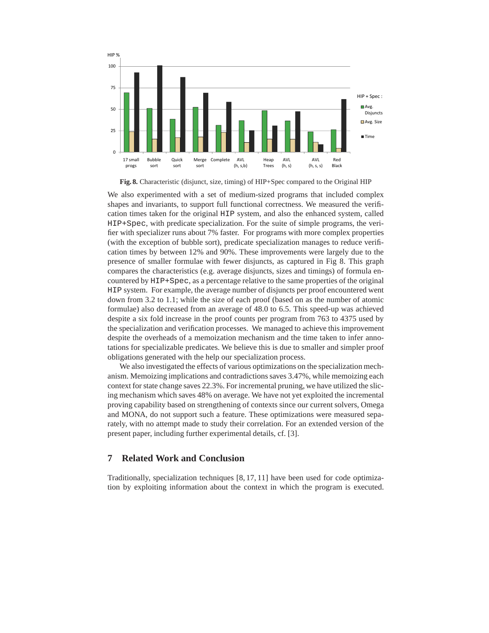

**Fig. 8.** Characteristic (disjunct, size, timing) of HIP+Spec compared to the Original HIP

We also experimented with a set of medium-sized programs that included complex shapes and invariants, to support full functional correctness. We measured the verification times taken for the original HIP system, and also the enhanced system, called HIP+Spec, with predicate specialization. For the suite of simple programs, the verifier with specializer runs about 7% faster. For programs with more complex properties (with the exception of bubble sort), predicate specialization manages to reduce verification times by between 12% and 90%. These improvements were largely due to the presence of smaller formulae with fewer disjuncts, as captured in Fig 8. This graph compares the characteristics (e.g. average disjuncts, sizes and timings) of formula encountered by HIP+Spec, as a percentage relative to the same properties of the original HIP system. For example, the average number of disjuncts per proof encountered went down from 3.2 to 1.1; while the size of each proof (based on as the number of atomic formulae) also decreased from an average of 48.0 to 6.5. This speed-up was achieved despite a six fold increase in the proof counts per program from 763 to 4375 used by the specialization and verification processes. We managed to achieve this improvement despite the overheads of a memoization mechanism and the time taken to infer annotations for specializable predicates. We believe this is due to smaller and simpler proof obligations generated with the help our specialization process.

We also investigated the effects of various optimizations on the specialization mechanism. Memoizing implications and contradictions saves 3.47%, while memoizing each context for state change saves 22.3%. For incremental pruning, we have utilized the slicing mechanism which saves 48% on average. We have not yet exploited the incremental proving capability based on strengthening of contexts since our current solvers, Omega and MONA, do not support such a feature. These optimizations were measured separately, with no attempt made to study their correlation. For an extended version of the present paper, including further experimental details, cf. [3].

## **7 Related Work and Conclusion**

Traditionally, specialization techniques [8, 17, 11] have been used for code optimization by exploiting information about the context in which the program is executed.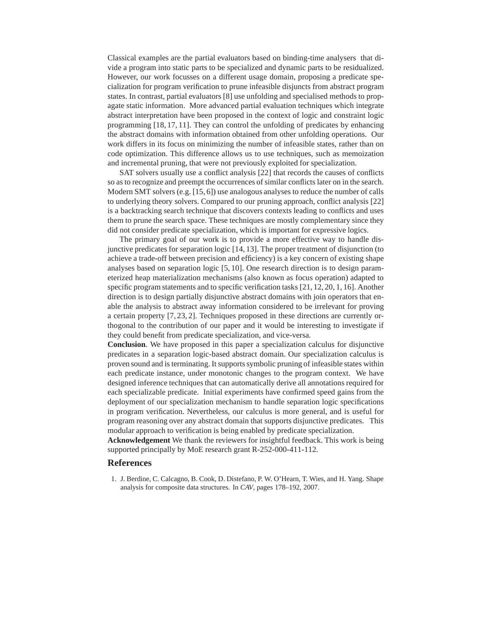Classical examples are the partial evaluators based on binding-time analysers that divide a program into static parts to be specialized and dynamic parts to be residualized. However, our work focusses on a different usage domain, proposing a predicate specialization for program verification to prune infeasible disjuncts from abstract program states. In contrast, partial evaluators [8] use unfolding and specialised methods to propagate static information. More advanced partial evaluation techniques which integrate abstract interpretation have been proposed in the context of logic and constraint logic programming [18, 17, 11]. They can control the unfolding of predicates by enhancing the abstract domains with information obtained from other unfolding operations. Our work differs in its focus on minimizing the number of infeasible states, rather than on code optimization. This difference allows us to use techniques, such as memoization and incremental pruning, that were not previously exploited for specialization.

SAT solvers usually use a conflict analysis [22] that records the causes of conflicts so as to recognize and preempt the occurrences of similar conflicts later on in the search. Modern SMT solvers (e.g. [15, 6]) use analogous analyses to reduce the number of calls to underlying theory solvers. Compared to our pruning approach, conflict analysis [22] is a backtracking search technique that discovers contexts leading to conflicts and uses them to prune the search space. These techniques are mostly complementary since they did not consider predicate specialization, which is important for expressive logics.

The primary goal of our work is to provide a more effective way to handle disjunctive predicates for separation logic [14, 13]. The proper treatment of disjunction (to achieve a trade-off between precision and efficiency) is a key concern of existing shape analyses based on separation logic [5, 10]. One research direction is to design parameterized heap materialization mechanisms (also known as focus operation) adapted to specific program statements and to specific verification tasks [21, 12, 20, 1, 16]. Another direction is to design partially disjunctive abstract domains with join operators that enable the analysis to abstract away information considered to be irrelevant for proving a certain property [7, 23, 2]. Techniques proposed in these directions are currently orthogonal to the contribution of our paper and it would be interesting to investigate if they could benefit from predicate specialization, and vice-versa.

**Conclusion**. We have proposed in this paper a specialization calculus for disjunctive predicates in a separation logic-based abstract domain. Our specialization calculus is proven sound and is terminating. It supports symbolic pruning of infeasible states within each predicate instance, under monotonic changes to the program context. We have designed inference techniques that can automatically derive all annotations required for each specializable predicate. Initial experiments have confirmed speed gains from the deployment of our specialization mechanism to handle separation logic specifications in program verification. Nevertheless, our calculus is more general, and is useful for program reasoning over any abstract domain that supports disjunctive predicates. This modular approach to verification is being enabled by predicate specialization.

**Acknowledgement** We thank the reviewers for insightful feedback. This work is being supported principally by MoE research grant R-252-000-411-112.

#### **References**

1. J. Berdine, C. Calcagno, B. Cook, D. Distefano, P. W. O'Hearn, T. Wies, and H. Yang. Shape analysis for composite data structures. In *CAV*, pages 178–192, 2007.